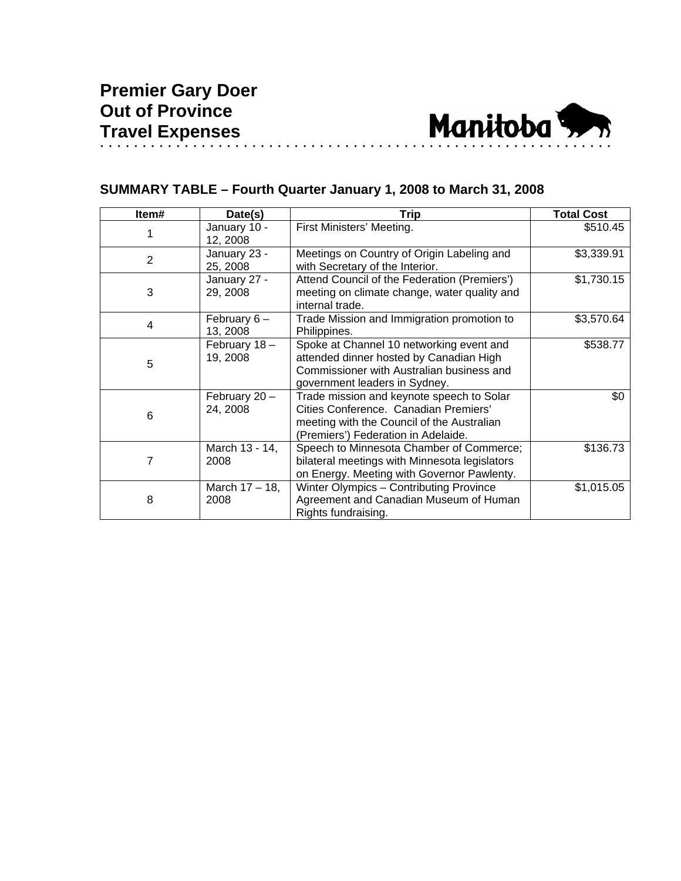

## **SUMMARY TABLE – Fourth Quarter January 1, 2008 to March 31, 2008**

| Item#          | Date(s)                   | <b>Trip</b>                                                                                                                                                             | <b>Total Cost</b> |
|----------------|---------------------------|-------------------------------------------------------------------------------------------------------------------------------------------------------------------------|-------------------|
|                | January 10 -<br>12, 2008  | First Ministers' Meeting.                                                                                                                                               | \$510.45          |
| $\overline{2}$ | January 23 -<br>25, 2008  | Meetings on Country of Origin Labeling and<br>with Secretary of the Interior.                                                                                           | \$3,339.91        |
| 3              | January 27 -<br>29, 2008  | Attend Council of the Federation (Premiers')<br>meeting on climate change, water quality and<br>internal trade.                                                         | \$1,730.15        |
| 4              | February $6-$<br>13, 2008 | Trade Mission and Immigration promotion to<br>Philippines.                                                                                                              | \$3,570.64        |
| 5              | February 18-<br>19, 2008  | Spoke at Channel 10 networking event and<br>attended dinner hosted by Canadian High<br>Commissioner with Australian business and<br>government leaders in Sydney.       | \$538.77          |
| 6              | February 20-<br>24, 2008  | Trade mission and keynote speech to Solar<br>Cities Conference. Canadian Premiers'<br>meeting with the Council of the Australian<br>(Premiers') Federation in Adelaide. | \$0               |
| 7              | March 13 - 14,<br>2008    | Speech to Minnesota Chamber of Commerce;<br>bilateral meetings with Minnesota legislators<br>on Energy. Meeting with Governor Pawlenty.                                 | \$136.73          |
| 8              | March 17 – 18,<br>2008    | Winter Olympics - Contributing Province<br>Agreement and Canadian Museum of Human<br>Rights fundraising.                                                                | \$1,015.05        |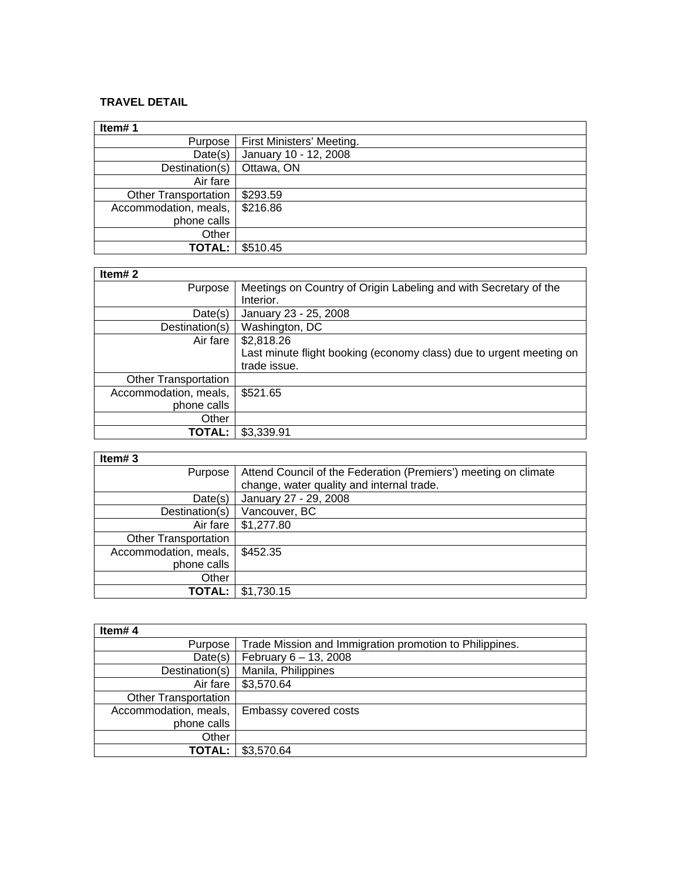## **TRAVEL DETAIL**

| Item#1                      |                           |
|-----------------------------|---------------------------|
| Purpose                     | First Ministers' Meeting. |
| Date(s)                     | January 10 - 12, 2008     |
| Destination(s)              | Ottawa, ON                |
| Air fare                    |                           |
| <b>Other Transportation</b> | \$293.59                  |
| Accommodation, meals,       | \$216.86                  |
| phone calls                 |                           |
| Other                       |                           |
| <b>TOTAL:</b>               | \$510.45                  |

┑

## **Item# 2**

| Purpose                     | Meetings on Country of Origin Labeling and with Secretary of the    |
|-----------------------------|---------------------------------------------------------------------|
|                             | Interior.                                                           |
| Date(s)                     | January 23 - 25, 2008                                               |
| Destination(s)              | Washington, DC                                                      |
| Air fare                    | \$2,818.26                                                          |
|                             | Last minute flight booking (economy class) due to urgent meeting on |
|                             | trade issue.                                                        |
| <b>Other Transportation</b> |                                                                     |
| Accommodation, meals,       | \$521.65                                                            |
| phone calls                 |                                                                     |
| Other                       |                                                                     |
| TOTAL:                      | \$3,339.91                                                          |

| m | r. |  |
|---|----|--|
|---|----|--|

| Item#3                      |                                                                 |
|-----------------------------|-----------------------------------------------------------------|
| Purpose                     | Attend Council of the Federation (Premiers') meeting on climate |
|                             | change, water quality and internal trade.                       |
| Date(s)                     | January 27 - 29, 2008                                           |
| Destination(s)              | Vancouver, BC                                                   |
| Air fare                    | \$1,277.80                                                      |
| <b>Other Transportation</b> |                                                                 |
| Accommodation, meals,       | \$452.35                                                        |
| phone calls                 |                                                                 |
| Other                       |                                                                 |
| TOTAL:                      | \$1.730.15                                                      |

| Item#4                      |                                                         |
|-----------------------------|---------------------------------------------------------|
| Purpose                     | Trade Mission and Immigration promotion to Philippines. |
| Date(s)                     | February 6 - 13, 2008                                   |
| Destination(s)              | Manila, Philippines                                     |
| Air fare                    | \$3,570.64                                              |
| <b>Other Transportation</b> |                                                         |
| Accommodation, meals,       | Embassy covered costs                                   |
| phone calls                 |                                                         |
| Other                       |                                                         |
| TOTAL:                      | \$3,570.64                                              |